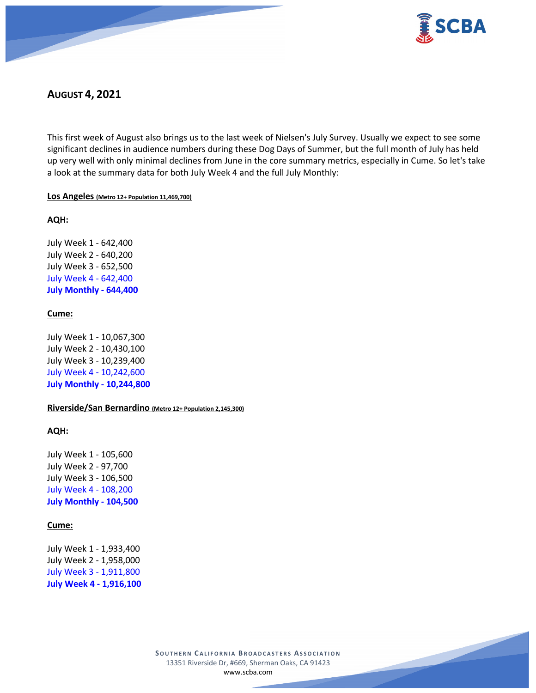

# **AUGUST 4, 2021**

This first week of August also brings us to the last week of Nielsen's July Survey. Usually we expect to see some significant declines in audience numbers during these Dog Days of Summer, but the full month of July has held up very well with only minimal declines from June in the core summary metrics, especially in Cume. So let's take a look at the summary data for both July Week 4 and the full July Monthly:

# **Los Angeles (Metro 12+ Population 11,469,700)**

# **AQH:**

July Week 1 - 642,400 July Week 2 - 640,200 July Week 3 - 652,500 July Week 4 - 642,400 **July Monthly - 644,400**

# **Cume:**

July Week 1 - 10,067,300 July Week 2 - 10,430,100 July Week 3 - 10,239,400 July Week 4 - 10,242,600 **July Monthly - 10,244,800**

# **Riverside/San Bernardino (Metro 12+ Population 2,145,300)**

# **AQH:**

July Week 1 - 105,600 July Week 2 - 97,700 July Week 3 - 106,500 July Week 4 - 108,200 **July Monthly - 104,500**

# **Cume:**

July Week 1 - 1,933,400 July Week 2 - 1,958,000 July Week 3 - 1,911,800 **July Week 4 - 1,916,100**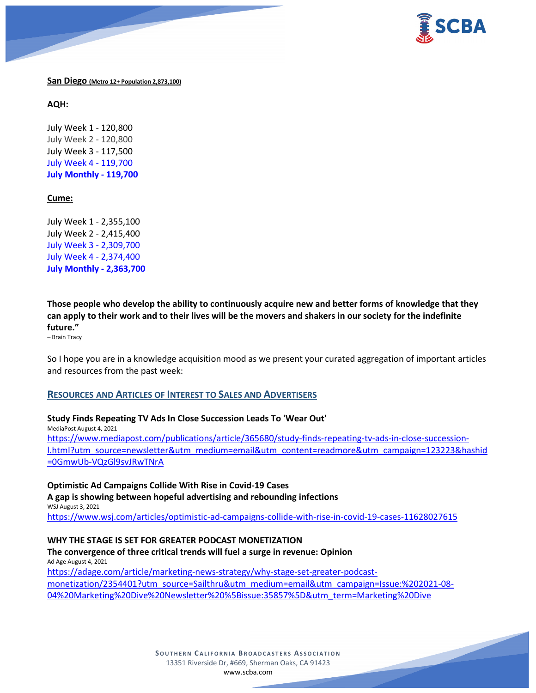

# **San Diego (Metro 12+ Population 2,873,100)**

**AQH:**

July Week 1 - 120,800 July Week 2 - 120,800 July Week 3 - 117,500 July Week 4 - 119,700 **July Monthly - 119,700**

# **Cume:**

July Week 1 - 2,355,100 July Week 2 - 2,415,400 July Week 3 - 2,309,700 July Week 4 - 2,374,400 **July Monthly - 2,363,700**

**Those people who develop the ability to continuously acquire new and better forms of knowledge that they can apply to their work and to their lives will be the movers and shakers in our society for the indefinite future."**

– Brain Tracy

So I hope you are in a knowledge acquisition mood as we present your curated aggregation of important articles and resources from the past week:

# **RESOURCES AND ARTICLES OF INTEREST TO SALES AND ADVERTISERS**

# **Study Finds Repeating TV Ads In Close Succession Leads To 'Wear Out'**

MediaPost August 4, 2021 [https://www.mediapost.com/publications/article/365680/study-finds-repeating-tv-ads-in-close-succession](https://www.mediapost.com/publications/article/365680/study-finds-repeating-tv-ads-in-close-succession-l.html?utm_source=newsletter&utm_medium=email&utm_content=readmore&utm_campaign=123223&hashid=0GmwUb-VQzGl9svJRwTNrA)[l.html?utm\\_source=newsletter&utm\\_medium=email&utm\\_content=readmore&utm\\_campaign=123223&hashid](https://www.mediapost.com/publications/article/365680/study-finds-repeating-tv-ads-in-close-succession-l.html?utm_source=newsletter&utm_medium=email&utm_content=readmore&utm_campaign=123223&hashid=0GmwUb-VQzGl9svJRwTNrA) [=0GmwUb-VQzGl9svJRwTNrA](https://www.mediapost.com/publications/article/365680/study-finds-repeating-tv-ads-in-close-succession-l.html?utm_source=newsletter&utm_medium=email&utm_content=readmore&utm_campaign=123223&hashid=0GmwUb-VQzGl9svJRwTNrA)

**Optimistic Ad Campaigns Collide With Rise in Covid-19 Cases A gap is showing between hopeful advertising and rebounding infections** WSJ August 3, 2021 <https://www.wsj.com/articles/optimistic-ad-campaigns-collide-with-rise-in-covid-19-cases-11628027615>

# **WHY THE STAGE IS SET FOR GREATER PODCAST MONETIZATION**

**The convergence of three critical trends will fuel a surge in revenue: Opinion** Ad Age August 4, 2021 [https://adage.com/article/marketing-news-strategy/why-stage-set-greater-podcast](https://adage.com/article/marketing-news-strategy/why-stage-set-greater-podcast-monetization/2354401?utm_source=Sailthru&utm_medium=email&utm_campaign=Issue:%202021-08-04%20Marketing%20Dive%20Newsletter%20%5Bissue:35857%5D&utm_term=Marketing%20Dive)[monetization/2354401?utm\\_source=Sailthru&utm\\_medium=email&utm\\_campaign=Issue:%202021-08-](https://adage.com/article/marketing-news-strategy/why-stage-set-greater-podcast-monetization/2354401?utm_source=Sailthru&utm_medium=email&utm_campaign=Issue:%202021-08-04%20Marketing%20Dive%20Newsletter%20%5Bissue:35857%5D&utm_term=Marketing%20Dive) [04%20Marketing%20Dive%20Newsletter%20%5Bissue:35857%5D&utm\\_term=Marketing%20Dive](https://adage.com/article/marketing-news-strategy/why-stage-set-greater-podcast-monetization/2354401?utm_source=Sailthru&utm_medium=email&utm_campaign=Issue:%202021-08-04%20Marketing%20Dive%20Newsletter%20%5Bissue:35857%5D&utm_term=Marketing%20Dive)

> **SOUTHERN C ALIFORNIA B ROADCASTERS ASSOCIATION** 13351 Riverside Dr, #669, Sherman Oaks, CA 91423 [www.scba.com](http://www.scba.com/)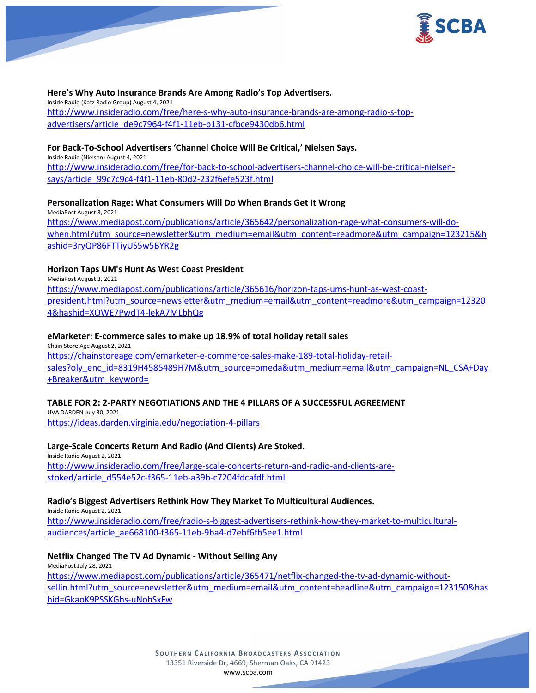

# **Here's Why Auto Insurance Brands Are Among Radio's Top Advertisers.**

Inside Radio (Katz Radio Group) August 4, 2021 [http://www.insideradio.com/free/here-s-why-auto-insurance-brands-are-among-radio-s-top](http://www.insideradio.com/free/here-s-why-auto-insurance-brands-are-among-radio-s-top-advertisers/article_de9c7964-f4f1-11eb-b131-cfbce9430db6.html)[advertisers/article\\_de9c7964-f4f1-11eb-b131-cfbce9430db6.html](http://www.insideradio.com/free/here-s-why-auto-insurance-brands-are-among-radio-s-top-advertisers/article_de9c7964-f4f1-11eb-b131-cfbce9430db6.html)

#### **For Back-To-School Advertisers 'Channel Choice Will Be Critical,' Nielsen Says.**

Inside Radio (Nielsen) August 4, 2021 [http://www.insideradio.com/free/for-back-to-school-advertisers-channel-choice-will-be-critical-nielsen](http://www.insideradio.com/free/for-back-to-school-advertisers-channel-choice-will-be-critical-nielsen-says/article_99c7c9c4-f4f1-11eb-80d2-232f6efe523f.html)[says/article\\_99c7c9c4-f4f1-11eb-80d2-232f6efe523f.html](http://www.insideradio.com/free/for-back-to-school-advertisers-channel-choice-will-be-critical-nielsen-says/article_99c7c9c4-f4f1-11eb-80d2-232f6efe523f.html)

## **Personalization Rage: What Consumers Will Do When Brands Get It Wrong**

MediaPost August 3, 2021 [https://www.mediapost.com/publications/article/365642/personalization-rage-what-consumers-will-do](https://www.mediapost.com/publications/article/365642/personalization-rage-what-consumers-will-do-when.html?utm_source=newsletter&utm_medium=email&utm_content=readmore&utm_campaign=123215&hashid=3ryQP86FTTiyUS5w5BYR2g)[when.html?utm\\_source=newsletter&utm\\_medium=email&utm\\_content=readmore&utm\\_campaign=123215&h](https://www.mediapost.com/publications/article/365642/personalization-rage-what-consumers-will-do-when.html?utm_source=newsletter&utm_medium=email&utm_content=readmore&utm_campaign=123215&hashid=3ryQP86FTTiyUS5w5BYR2g) [ashid=3ryQP86FTTiyUS5w5BYR2g](https://www.mediapost.com/publications/article/365642/personalization-rage-what-consumers-will-do-when.html?utm_source=newsletter&utm_medium=email&utm_content=readmore&utm_campaign=123215&hashid=3ryQP86FTTiyUS5w5BYR2g)

# **Horizon Taps UM's Hunt As West Coast President**

MediaPost August 3, 2021 [https://www.mediapost.com/publications/article/365616/horizon-taps-ums-hunt-as-west-coast](https://www.mediapost.com/publications/article/365616/horizon-taps-ums-hunt-as-west-coast-president.html?utm_source=newsletter&utm_medium=email&utm_content=readmore&utm_campaign=123204&hashid=XOWE7PwdT4-lekA7MLbhQg)[president.html?utm\\_source=newsletter&utm\\_medium=email&utm\\_content=readmore&utm\\_campaign=12320](https://www.mediapost.com/publications/article/365616/horizon-taps-ums-hunt-as-west-coast-president.html?utm_source=newsletter&utm_medium=email&utm_content=readmore&utm_campaign=123204&hashid=XOWE7PwdT4-lekA7MLbhQg) [4&hashid=XOWE7PwdT4-lekA7MLbhQg](https://www.mediapost.com/publications/article/365616/horizon-taps-ums-hunt-as-west-coast-president.html?utm_source=newsletter&utm_medium=email&utm_content=readmore&utm_campaign=123204&hashid=XOWE7PwdT4-lekA7MLbhQg)

# **eMarketer: E-commerce sales to make up 18.9% of total holiday retail sales**

Chain Store Age August 2, 2021 [https://chainstoreage.com/emarketer-e-commerce-sales-make-189-total-holiday-retail](https://chainstoreage.com/emarketer-e-commerce-sales-make-189-total-holiday-retail-sales?oly_enc_id=8319H4585489H7M&utm_source=omeda&utm_medium=email&utm_campaign=NL_CSA+Day+Breaker&utm_keyword=)[sales?oly\\_enc\\_id=8319H4585489H7M&utm\\_source=omeda&utm\\_medium=email&utm\\_campaign=NL\\_CSA+Day](https://chainstoreage.com/emarketer-e-commerce-sales-make-189-total-holiday-retail-sales?oly_enc_id=8319H4585489H7M&utm_source=omeda&utm_medium=email&utm_campaign=NL_CSA+Day+Breaker&utm_keyword=) [+Breaker&utm\\_keyword=](https://chainstoreage.com/emarketer-e-commerce-sales-make-189-total-holiday-retail-sales?oly_enc_id=8319H4585489H7M&utm_source=omeda&utm_medium=email&utm_campaign=NL_CSA+Day+Breaker&utm_keyword=)

# **TABLE FOR 2: 2-PARTY NEGOTIATIONS AND THE 4 PILLARS OF A SUCCESSFUL AGREEMENT**

UVA DARDEN July 30, 2021 <https://ideas.darden.virginia.edu/negotiation-4-pillars>

#### **Large-Scale Concerts Return And Radio (And Clients) Are Stoked.**

Inside Radio August 2, 2021 [http://www.insideradio.com/free/large-scale-concerts-return-and-radio-and-clients-are](http://www.insideradio.com/free/large-scale-concerts-return-and-radio-and-clients-are-stoked/article_d554e52c-f365-11eb-a39b-c7204fdcafdf.html)[stoked/article\\_d554e52c-f365-11eb-a39b-c7204fdcafdf.html](http://www.insideradio.com/free/large-scale-concerts-return-and-radio-and-clients-are-stoked/article_d554e52c-f365-11eb-a39b-c7204fdcafdf.html)

#### **Radio's Biggest Advertisers Rethink How They Market To Multicultural Audiences.**

Inside Radio August 2, 2021 [http://www.insideradio.com/free/radio-s-biggest-advertisers-rethink-how-they-market-to-multicultural](http://www.insideradio.com/free/radio-s-biggest-advertisers-rethink-how-they-market-to-multicultural-audiences/article_ae668100-f365-11eb-9ba4-d7ebf6fb5ee1.html)[audiences/article\\_ae668100-f365-11eb-9ba4-d7ebf6fb5ee1.html](http://www.insideradio.com/free/radio-s-biggest-advertisers-rethink-how-they-market-to-multicultural-audiences/article_ae668100-f365-11eb-9ba4-d7ebf6fb5ee1.html)

#### **Netflix Changed The TV Ad Dynamic - Without Selling Any**

MediaPost July 28, 2021 [https://www.mediapost.com/publications/article/365471/netflix-changed-the-tv-ad-dynamic-without](https://www.mediapost.com/publications/article/365471/netflix-changed-the-tv-ad-dynamic-without-sellin.html?utm_source=newsletter&utm_medium=email&utm_content=headline&utm_campaign=123150&hashid=GkaoK9PSSKGhs-uNohSxFw)[sellin.html?utm\\_source=newsletter&utm\\_medium=email&utm\\_content=headline&utm\\_campaign=123150&has](https://www.mediapost.com/publications/article/365471/netflix-changed-the-tv-ad-dynamic-without-sellin.html?utm_source=newsletter&utm_medium=email&utm_content=headline&utm_campaign=123150&hashid=GkaoK9PSSKGhs-uNohSxFw) [hid=GkaoK9PSSKGhs-uNohSxFw](https://www.mediapost.com/publications/article/365471/netflix-changed-the-tv-ad-dynamic-without-sellin.html?utm_source=newsletter&utm_medium=email&utm_content=headline&utm_campaign=123150&hashid=GkaoK9PSSKGhs-uNohSxFw)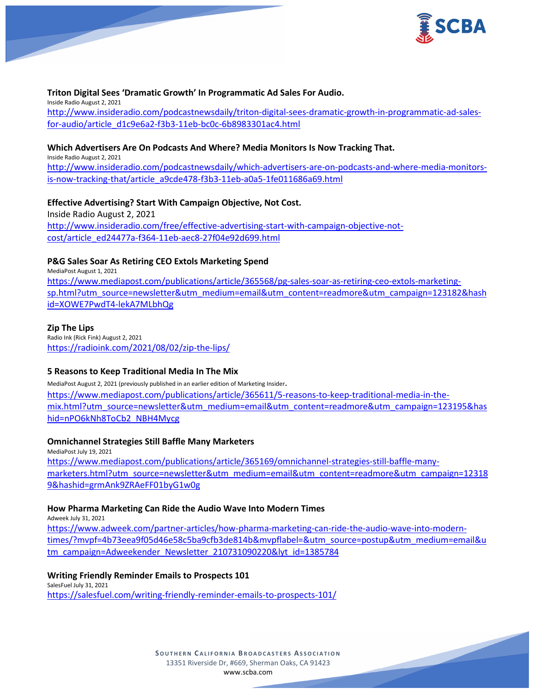

# **Triton Digital Sees 'Dramatic Growth' In Programmatic Ad Sales For Audio.**

Inside Radio August 2, 2021 [http://www.insideradio.com/podcastnewsdaily/triton-digital-sees-dramatic-growth-in-programmatic-ad-sales](http://www.insideradio.com/podcastnewsdaily/triton-digital-sees-dramatic-growth-in-programmatic-ad-sales-for-audio/article_d1c9e6a2-f3b3-11eb-bc0c-6b8983301ac4.html)[for-audio/article\\_d1c9e6a2-f3b3-11eb-bc0c-6b8983301ac4.html](http://www.insideradio.com/podcastnewsdaily/triton-digital-sees-dramatic-growth-in-programmatic-ad-sales-for-audio/article_d1c9e6a2-f3b3-11eb-bc0c-6b8983301ac4.html)

# **Which Advertisers Are On Podcasts And Where? Media Monitors Is Now Tracking That.**

Inside Radio August 2, 2021 [http://www.insideradio.com/podcastnewsdaily/which-advertisers-are-on-podcasts-and-where-media-monitors](http://www.insideradio.com/podcastnewsdaily/which-advertisers-are-on-podcasts-and-where-media-monitors-is-now-tracking-that/article_a9cde478-f3b3-11eb-a0a5-1fe011686a69.html)[is-now-tracking-that/article\\_a9cde478-f3b3-11eb-a0a5-1fe011686a69.html](http://www.insideradio.com/podcastnewsdaily/which-advertisers-are-on-podcasts-and-where-media-monitors-is-now-tracking-that/article_a9cde478-f3b3-11eb-a0a5-1fe011686a69.html)

# **Effective Advertising? Start With Campaign Objective, Not Cost.**

Inside Radio August 2, 2021 [http://www.insideradio.com/free/effective-advertising-start-with-campaign-objective-not](http://www.insideradio.com/free/effective-advertising-start-with-campaign-objective-not-cost/article_ed24477a-f364-11eb-aec8-27f04e92d699.html)[cost/article\\_ed24477a-f364-11eb-aec8-27f04e92d699.html](http://www.insideradio.com/free/effective-advertising-start-with-campaign-objective-not-cost/article_ed24477a-f364-11eb-aec8-27f04e92d699.html)

# **P&G Sales Soar As Retiring CEO Extols Marketing Spend**

MediaPost August 1, 2021 [https://www.mediapost.com/publications/article/365568/pg-sales-soar-as-retiring-ceo-extols-marketing](https://www.mediapost.com/publications/article/365568/pg-sales-soar-as-retiring-ceo-extols-marketing-sp.html?utm_source=newsletter&utm_medium=email&utm_content=readmore&utm_campaign=123182&hashid=XOWE7PwdT4-lekA7MLbhQg)[sp.html?utm\\_source=newsletter&utm\\_medium=email&utm\\_content=readmore&utm\\_campaign=123182&hash](https://www.mediapost.com/publications/article/365568/pg-sales-soar-as-retiring-ceo-extols-marketing-sp.html?utm_source=newsletter&utm_medium=email&utm_content=readmore&utm_campaign=123182&hashid=XOWE7PwdT4-lekA7MLbhQg) [id=XOWE7PwdT4-lekA7MLbhQg](https://www.mediapost.com/publications/article/365568/pg-sales-soar-as-retiring-ceo-extols-marketing-sp.html?utm_source=newsletter&utm_medium=email&utm_content=readmore&utm_campaign=123182&hashid=XOWE7PwdT4-lekA7MLbhQg)

# **Zip The Lips**

Radio Ink (Rick Fink) August 2, 2021 <https://radioink.com/2021/08/02/zip-the-lips/>

# **5 Reasons to Keep Traditional Media In The Mix**

MediaPost August 2, 2021 (previously published in an earlier edition of Marketing Insider. [https://www.mediapost.com/publications/article/365611/5-reasons-to-keep-traditional-media-in-the](https://www.mediapost.com/publications/article/365611/5-reasons-to-keep-traditional-media-in-the-mix.html?utm_source=newsletter&utm_medium=email&utm_content=readmore&utm_campaign=123195&hashid=nPO6kNh8ToCb2_NBH4Mycg)[mix.html?utm\\_source=newsletter&utm\\_medium=email&utm\\_content=readmore&utm\\_campaign=123195&has](https://www.mediapost.com/publications/article/365611/5-reasons-to-keep-traditional-media-in-the-mix.html?utm_source=newsletter&utm_medium=email&utm_content=readmore&utm_campaign=123195&hashid=nPO6kNh8ToCb2_NBH4Mycg) [hid=nPO6kNh8ToCb2\\_NBH4Mycg](https://www.mediapost.com/publications/article/365611/5-reasons-to-keep-traditional-media-in-the-mix.html?utm_source=newsletter&utm_medium=email&utm_content=readmore&utm_campaign=123195&hashid=nPO6kNh8ToCb2_NBH4Mycg)

# **Omnichannel Strategies Still Baffle Many Marketers**

MediaPost July 19, 2021 [https://www.mediapost.com/publications/article/365169/omnichannel-strategies-still-baffle-many](https://www.mediapost.com/publications/article/365169/omnichannel-strategies-still-baffle-many-marketers.html?utm_source=newsletter&utm_medium=email&utm_content=readmore&utm_campaign=123189&hashid=grmAnk9ZRAeFF01byG1w0g)[marketers.html?utm\\_source=newsletter&utm\\_medium=email&utm\\_content=readmore&utm\\_campaign=12318](https://www.mediapost.com/publications/article/365169/omnichannel-strategies-still-baffle-many-marketers.html?utm_source=newsletter&utm_medium=email&utm_content=readmore&utm_campaign=123189&hashid=grmAnk9ZRAeFF01byG1w0g) [9&hashid=grmAnk9ZRAeFF01byG1w0g](https://www.mediapost.com/publications/article/365169/omnichannel-strategies-still-baffle-many-marketers.html?utm_source=newsletter&utm_medium=email&utm_content=readmore&utm_campaign=123189&hashid=grmAnk9ZRAeFF01byG1w0g)

# **How Pharma Marketing Can Ride the Audio Wave Into Modern Times**

Adweek July 31, 2021

[https://www.adweek.com/partner-articles/how-pharma-marketing-can-ride-the-audio-wave-into-modern](https://www.adweek.com/partner-articles/how-pharma-marketing-can-ride-the-audio-wave-into-modern-times/?mvpf=4b73eea9f05d46e58c5ba9cfb3de814b&mvpflabel=&utm_source=postup&utm_medium=email&utm_campaign=Adweekender_Newsletter_210731090220&lyt_id=1385784)[times/?mvpf=4b73eea9f05d46e58c5ba9cfb3de814b&mvpflabel=&utm\\_source=postup&utm\\_medium=email&u](https://www.adweek.com/partner-articles/how-pharma-marketing-can-ride-the-audio-wave-into-modern-times/?mvpf=4b73eea9f05d46e58c5ba9cfb3de814b&mvpflabel=&utm_source=postup&utm_medium=email&utm_campaign=Adweekender_Newsletter_210731090220&lyt_id=1385784) [tm\\_campaign=Adweekender\\_Newsletter\\_210731090220&lyt\\_id=1385784](https://www.adweek.com/partner-articles/how-pharma-marketing-can-ride-the-audio-wave-into-modern-times/?mvpf=4b73eea9f05d46e58c5ba9cfb3de814b&mvpflabel=&utm_source=postup&utm_medium=email&utm_campaign=Adweekender_Newsletter_210731090220&lyt_id=1385784)

**Writing Friendly Reminder Emails to Prospects 101** SalesFuel July 31, 2021 <https://salesfuel.com/writing-friendly-reminder-emails-to-prospects-101/>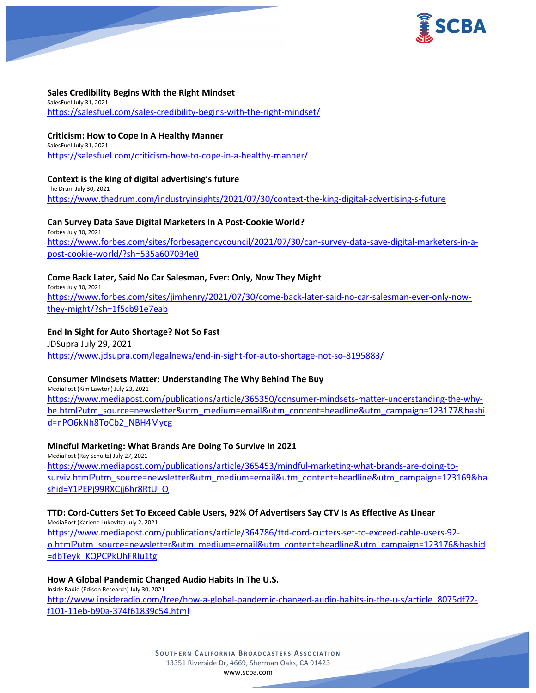

# **Sales Credibility Begins With the Right Mindset**

SalesFuel July 31, 2021 <https://salesfuel.com/sales-credibility-begins-with-the-right-mindset/>

# **Criticism: How to Cope In A Healthy Manner**

SalesFuel July 31, 2021 <https://salesfuel.com/criticism-how-to-cope-in-a-healthy-manner/>

# **Context is the king of digital advertising's future**

The Drum July 30, 2021 <https://www.thedrum.com/industryinsights/2021/07/30/context-the-king-digital-advertising-s-future>

# **Can Survey Data Save Digital Marketers In A Post-Cookie World?**

Forbes July 30, 2021 [https://www.forbes.com/sites/forbesagencycouncil/2021/07/30/can-survey-data-save-digital-marketers-in-a](https://www.forbes.com/sites/forbesagencycouncil/2021/07/30/can-survey-data-save-digital-marketers-in-a-post-cookie-world/?sh=535a607034e0)[post-cookie-world/?sh=535a607034e0](https://www.forbes.com/sites/forbesagencycouncil/2021/07/30/can-survey-data-save-digital-marketers-in-a-post-cookie-world/?sh=535a607034e0)

# **Come Back Later, Said No Car Salesman, Ever: Only, Now They Might**

Forbes July 30, 2021 [https://www.forbes.com/sites/jimhenry/2021/07/30/come-back-later-said-no-car-salesman-ever-only-now](https://www.forbes.com/sites/jimhenry/2021/07/30/come-back-later-said-no-car-salesman-ever-only-now-they-might/?sh=1f5cb91e7eab)[they-might/?sh=1f5cb91e7eab](https://www.forbes.com/sites/jimhenry/2021/07/30/come-back-later-said-no-car-salesman-ever-only-now-they-might/?sh=1f5cb91e7eab)

# **End In Sight for Auto Shortage? Not So Fast**

JDSupra July 29, 2021 <https://www.jdsupra.com/legalnews/end-in-sight-for-auto-shortage-not-so-8195883/>

# **Consumer Mindsets Matter: Understanding The Why Behind The Buy**

MediaPost (Kim Lawton) July 23, 2021 [https://www.mediapost.com/publications/article/365350/consumer-mindsets-matter-understanding-the-why](https://www.mediapost.com/publications/article/365350/consumer-mindsets-matter-understanding-the-why-be.html?utm_source=newsletter&utm_medium=email&utm_content=headline&utm_campaign=123177&hashid=nPO6kNh8ToCb2_NBH4Mycg)[be.html?utm\\_source=newsletter&utm\\_medium=email&utm\\_content=headline&utm\\_campaign=123177&hashi](https://www.mediapost.com/publications/article/365350/consumer-mindsets-matter-understanding-the-why-be.html?utm_source=newsletter&utm_medium=email&utm_content=headline&utm_campaign=123177&hashid=nPO6kNh8ToCb2_NBH4Mycg) [d=nPO6kNh8ToCb2\\_NBH4Mycg](https://www.mediapost.com/publications/article/365350/consumer-mindsets-matter-understanding-the-why-be.html?utm_source=newsletter&utm_medium=email&utm_content=headline&utm_campaign=123177&hashid=nPO6kNh8ToCb2_NBH4Mycg)

# **Mindful Marketing: What Brands Are Doing To Survive In 2021**

MediaPost (Ray Schultz) July 27, 2021 [https://www.mediapost.com/publications/article/365453/mindful-marketing-what-brands-are-doing-to](https://www.mediapost.com/publications/article/365453/mindful-marketing-what-brands-are-doing-to-surviv.html?utm_source=newsletter&utm_medium=email&utm_content=headline&utm_campaign=123169&hashid=Y1PEPj99RXCjj6hr8RtU_Q)[surviv.html?utm\\_source=newsletter&utm\\_medium=email&utm\\_content=headline&utm\\_campaign=123169&ha](https://www.mediapost.com/publications/article/365453/mindful-marketing-what-brands-are-doing-to-surviv.html?utm_source=newsletter&utm_medium=email&utm_content=headline&utm_campaign=123169&hashid=Y1PEPj99RXCjj6hr8RtU_Q) [shid=Y1PEPj99RXCjj6hr8RtU\\_Q](https://www.mediapost.com/publications/article/365453/mindful-marketing-what-brands-are-doing-to-surviv.html?utm_source=newsletter&utm_medium=email&utm_content=headline&utm_campaign=123169&hashid=Y1PEPj99RXCjj6hr8RtU_Q)

# **TTD: Cord-Cutters Set To Exceed Cable Users, 92% Of Advertisers Say CTV Is As Effective As Linear**

MediaPost (Karlene Lukovitz) July 2, 2021 [https://www.mediapost.com/publications/article/364786/ttd-cord-cutters-set-to-exceed-cable-users-92](https://www.mediapost.com/publications/article/364786/ttd-cord-cutters-set-to-exceed-cable-users-92-o.html?utm_source=newsletter&utm_medium=email&utm_content=headline&utm_campaign=123176&hashid=dbTeyk_KQPCPkUhFRIu1tg) [o.html?utm\\_source=newsletter&utm\\_medium=email&utm\\_content=headline&utm\\_campaign=123176&hashid](https://www.mediapost.com/publications/article/364786/ttd-cord-cutters-set-to-exceed-cable-users-92-o.html?utm_source=newsletter&utm_medium=email&utm_content=headline&utm_campaign=123176&hashid=dbTeyk_KQPCPkUhFRIu1tg) [=dbTeyk\\_KQPCPkUhFRIu1tg](https://www.mediapost.com/publications/article/364786/ttd-cord-cutters-set-to-exceed-cable-users-92-o.html?utm_source=newsletter&utm_medium=email&utm_content=headline&utm_campaign=123176&hashid=dbTeyk_KQPCPkUhFRIu1tg)

# **How A Global Pandemic Changed Audio Habits In The U.S.**

Inside Radio (Edison Research) July 30, 2021 [http://www.insideradio.com/free/how-a-global-pandemic-changed-audio-habits-in-the-u-s/article\\_8075df72](http://www.insideradio.com/free/how-a-global-pandemic-changed-audio-habits-in-the-u-s/article_8075df72-f101-11eb-b90a-374f61839c54.html) [f101-11eb-b90a-374f61839c54.html](http://www.insideradio.com/free/how-a-global-pandemic-changed-audio-habits-in-the-u-s/article_8075df72-f101-11eb-b90a-374f61839c54.html)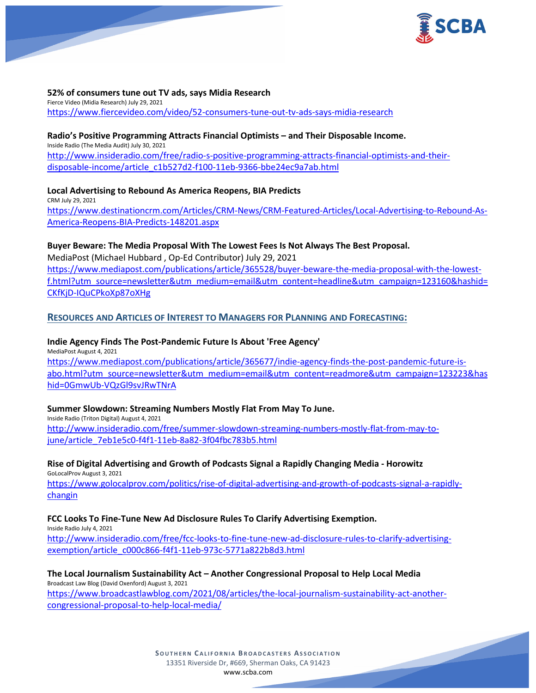

# **52% of consumers tune out TV ads, says Midia Research**

Fierce Video (Midia Research) July 29, 2021 <https://www.fiercevideo.com/video/52-consumers-tune-out-tv-ads-says-midia-research>

#### **Radio's Positive Programming Attracts Financial Optimists – and Their Disposable Income.**

Inside Radio (The Media Audit) July 30, 2021 [http://www.insideradio.com/free/radio-s-positive-programming-attracts-financial-optimists-and-their](http://www.insideradio.com/free/radio-s-positive-programming-attracts-financial-optimists-and-their-disposable-income/article_c1b527d2-f100-11eb-9366-bbe24ec9a7ab.html)[disposable-income/article\\_c1b527d2-f100-11eb-9366-bbe24ec9a7ab.html](http://www.insideradio.com/free/radio-s-positive-programming-attracts-financial-optimists-and-their-disposable-income/article_c1b527d2-f100-11eb-9366-bbe24ec9a7ab.html)

**Local Advertising to Rebound As America Reopens, BIA Predicts** CRM July 29, 2021 [https://www.destinationcrm.com/Articles/CRM-News/CRM-Featured-Articles/Local-Advertising-to-Rebound-As-](https://www.destinationcrm.com/Articles/CRM-News/CRM-Featured-Articles/Local-Advertising-to-Rebound-As-America-Reopens-BIA-Predicts-148201.aspx)

[America-Reopens-BIA-Predicts-148201.aspx](https://www.destinationcrm.com/Articles/CRM-News/CRM-Featured-Articles/Local-Advertising-to-Rebound-As-America-Reopens-BIA-Predicts-148201.aspx)

# **Buyer Beware: The Media Proposal With The Lowest Fees Is Not Always The Best Proposal.**

MediaPost (Michael Hubbard , Op-Ed Contributor) July 29, 2021 [https://www.mediapost.com/publications/article/365528/buyer-beware-the-media-proposal-with-the-lowest](https://www.mediapost.com/publications/article/365528/buyer-beware-the-media-proposal-with-the-lowest-f.html?utm_source=newsletter&utm_medium=email&utm_content=headline&utm_campaign=123160&hashid=CKfKjD-IQuCPkoXp87oXHg)[f.html?utm\\_source=newsletter&utm\\_medium=email&utm\\_content=headline&utm\\_campaign=123160&hashid=](https://www.mediapost.com/publications/article/365528/buyer-beware-the-media-proposal-with-the-lowest-f.html?utm_source=newsletter&utm_medium=email&utm_content=headline&utm_campaign=123160&hashid=CKfKjD-IQuCPkoXp87oXHg) [CKfKjD-IQuCPkoXp87oXHg](https://www.mediapost.com/publications/article/365528/buyer-beware-the-media-proposal-with-the-lowest-f.html?utm_source=newsletter&utm_medium=email&utm_content=headline&utm_campaign=123160&hashid=CKfKjD-IQuCPkoXp87oXHg)

# **RESOURCES AND ARTICLES OF INTEREST TO MANAGERS FOR PLANNING AND FORECASTING:**

**Indie Agency Finds The Post-Pandemic Future Is About 'Free Agency'** MediaPost August 4, 2021 [https://www.mediapost.com/publications/article/365677/indie-agency-finds-the-post-pandemic-future-is](https://www.mediapost.com/publications/article/365677/indie-agency-finds-the-post-pandemic-future-is-abo.html?utm_source=newsletter&utm_medium=email&utm_content=readmore&utm_campaign=123223&hashid=0GmwUb-VQzGl9svJRwTNrA)[abo.html?utm\\_source=newsletter&utm\\_medium=email&utm\\_content=readmore&utm\\_campaign=123223&has](https://www.mediapost.com/publications/article/365677/indie-agency-finds-the-post-pandemic-future-is-abo.html?utm_source=newsletter&utm_medium=email&utm_content=readmore&utm_campaign=123223&hashid=0GmwUb-VQzGl9svJRwTNrA) [hid=0GmwUb-VQzGl9svJRwTNrA](https://www.mediapost.com/publications/article/365677/indie-agency-finds-the-post-pandemic-future-is-abo.html?utm_source=newsletter&utm_medium=email&utm_content=readmore&utm_campaign=123223&hashid=0GmwUb-VQzGl9svJRwTNrA)

# **Summer Slowdown: Streaming Numbers Mostly Flat From May To June.**

Inside Radio (Triton Digital) August 4, 2021 [http://www.insideradio.com/free/summer-slowdown-streaming-numbers-mostly-flat-from-may-to](http://www.insideradio.com/free/summer-slowdown-streaming-numbers-mostly-flat-from-may-to-june/article_7eb1e5c0-f4f1-11eb-8a82-3f04fbc783b5.html)[june/article\\_7eb1e5c0-f4f1-11eb-8a82-3f04fbc783b5.html](http://www.insideradio.com/free/summer-slowdown-streaming-numbers-mostly-flat-from-may-to-june/article_7eb1e5c0-f4f1-11eb-8a82-3f04fbc783b5.html)

#### **Rise of Digital Advertising and Growth of Podcasts Signal a Rapidly Changing Media - Horowitz** GoLocalProv August 3, 2021

[https://www.golocalprov.com/politics/rise-of-digital-advertising-and-growth-of-podcasts-signal-a-rapidly](https://www.golocalprov.com/politics/rise-of-digital-advertising-and-growth-of-podcasts-signal-a-rapidly-changin)[changin](https://www.golocalprov.com/politics/rise-of-digital-advertising-and-growth-of-podcasts-signal-a-rapidly-changin)

# **FCC Looks To Fine-Tune New Ad Disclosure Rules To Clarify Advertising Exemption.**

Inside Radio July 4, 2021

[http://www.insideradio.com/free/fcc-looks-to-fine-tune-new-ad-disclosure-rules-to-clarify-advertising](http://www.insideradio.com/free/fcc-looks-to-fine-tune-new-ad-disclosure-rules-to-clarify-advertising-exemption/article_c000c866-f4f1-11eb-973c-5771a822b8d3.html)[exemption/article\\_c000c866-f4f1-11eb-973c-5771a822b8d3.html](http://www.insideradio.com/free/fcc-looks-to-fine-tune-new-ad-disclosure-rules-to-clarify-advertising-exemption/article_c000c866-f4f1-11eb-973c-5771a822b8d3.html)

#### **The Local Journalism Sustainability Act – Another Congressional Proposal to Help Local Media** Broadcast Law Blog (David Oxenford) August 3, 2021

[https://www.broadcastlawblog.com/2021/08/articles/the-local-journalism-sustainability-act-another](https://www.broadcastlawblog.com/2021/08/articles/the-local-journalism-sustainability-act-another-congressional-proposal-to-help-local-media/)[congressional-proposal-to-help-local-media/](https://www.broadcastlawblog.com/2021/08/articles/the-local-journalism-sustainability-act-another-congressional-proposal-to-help-local-media/)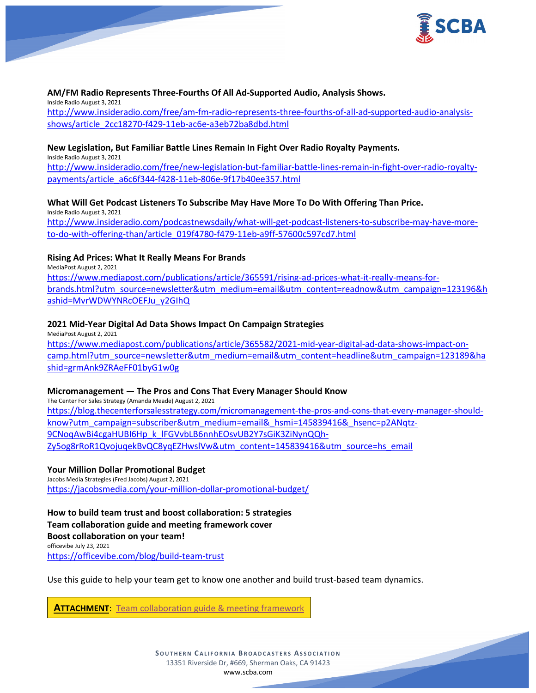

# **AM/FM Radio Represents Three-Fourths Of All Ad-Supported Audio, Analysis Shows.**

Inside Radio August 3, 2021

[http://www.insideradio.com/free/am-fm-radio-represents-three-fourths-of-all-ad-supported-audio-analysis](http://www.insideradio.com/free/am-fm-radio-represents-three-fourths-of-all-ad-supported-audio-analysis-shows/article_2cc18270-f429-11eb-ac6e-a3eb72ba8dbd.html)[shows/article\\_2cc18270-f429-11eb-ac6e-a3eb72ba8dbd.html](http://www.insideradio.com/free/am-fm-radio-represents-three-fourths-of-all-ad-supported-audio-analysis-shows/article_2cc18270-f429-11eb-ac6e-a3eb72ba8dbd.html)

# **New Legislation, But Familiar Battle Lines Remain In Fight Over Radio Royalty Payments.**

Inside Radio August 3, 2021 [http://www.insideradio.com/free/new-legislation-but-familiar-battle-lines-remain-in-fight-over-radio-royalty](http://www.insideradio.com/free/new-legislation-but-familiar-battle-lines-remain-in-fight-over-radio-royalty-payments/article_a6c6f344-f428-11eb-806e-9f17b40ee357.html)[payments/article\\_a6c6f344-f428-11eb-806e-9f17b40ee357.html](http://www.insideradio.com/free/new-legislation-but-familiar-battle-lines-remain-in-fight-over-radio-royalty-payments/article_a6c6f344-f428-11eb-806e-9f17b40ee357.html)

# **What Will Get Podcast Listeners To Subscribe May Have More To Do With Offering Than Price.**

Inside Radio August 3, 2021 [http://www.insideradio.com/podcastnewsdaily/what-will-get-podcast-listeners-to-subscribe-may-have-more](http://www.insideradio.com/podcastnewsdaily/what-will-get-podcast-listeners-to-subscribe-may-have-more-to-do-with-offering-than/article_019f4780-f479-11eb-a9ff-57600c597cd7.html)[to-do-with-offering-than/article\\_019f4780-f479-11eb-a9ff-57600c597cd7.html](http://www.insideradio.com/podcastnewsdaily/what-will-get-podcast-listeners-to-subscribe-may-have-more-to-do-with-offering-than/article_019f4780-f479-11eb-a9ff-57600c597cd7.html)

# **Rising Ad Prices: What It Really Means For Brands**

MediaPost August 2, 2021

[https://www.mediapost.com/publications/article/365591/rising-ad-prices-what-it-really-means-for](https://www.mediapost.com/publications/article/365591/rising-ad-prices-what-it-really-means-for-brands.html?utm_source=newsletter&utm_medium=email&utm_content=readnow&utm_campaign=123196&hashid=MvrWDWYNRcOEFJu_y2GIhQ)[brands.html?utm\\_source=newsletter&utm\\_medium=email&utm\\_content=readnow&utm\\_campaign=123196&h](https://www.mediapost.com/publications/article/365591/rising-ad-prices-what-it-really-means-for-brands.html?utm_source=newsletter&utm_medium=email&utm_content=readnow&utm_campaign=123196&hashid=MvrWDWYNRcOEFJu_y2GIhQ) [ashid=MvrWDWYNRcOEFJu\\_y2GIhQ](https://www.mediapost.com/publications/article/365591/rising-ad-prices-what-it-really-means-for-brands.html?utm_source=newsletter&utm_medium=email&utm_content=readnow&utm_campaign=123196&hashid=MvrWDWYNRcOEFJu_y2GIhQ)

# **2021 Mid-Year Digital Ad Data Shows Impact On Campaign Strategies**

MediaPost August 2, 2021 [https://www.mediapost.com/publications/article/365582/2021-mid-year-digital-ad-data-shows-impact-on](https://www.mediapost.com/publications/article/365582/2021-mid-year-digital-ad-data-shows-impact-on-camp.html?utm_source=newsletter&utm_medium=email&utm_content=headline&utm_campaign=123189&hashid=grmAnk9ZRAeFF01byG1w0g)[camp.html?utm\\_source=newsletter&utm\\_medium=email&utm\\_content=headline&utm\\_campaign=123189&ha](https://www.mediapost.com/publications/article/365582/2021-mid-year-digital-ad-data-shows-impact-on-camp.html?utm_source=newsletter&utm_medium=email&utm_content=headline&utm_campaign=123189&hashid=grmAnk9ZRAeFF01byG1w0g) [shid=grmAnk9ZRAeFF01byG1w0g](https://www.mediapost.com/publications/article/365582/2021-mid-year-digital-ad-data-shows-impact-on-camp.html?utm_source=newsletter&utm_medium=email&utm_content=headline&utm_campaign=123189&hashid=grmAnk9ZRAeFF01byG1w0g)

# **Micromanagement — The Pros and Cons That Every Manager Should Know**

The Center For Sales Strategy (Amanda Meade) August 2, 2021 [https://blog.thecenterforsalesstrategy.com/micromanagement-the-pros-and-cons-that-every-manager-should](https://blog.thecenterforsalesstrategy.com/micromanagement-the-pros-and-cons-that-every-manager-should-know?utm_campaign=subscriber&utm_medium=email&_hsmi=145839416&_hsenc=p2ANqtz-9CNoqAwBi4cgaHUBI6Hp_k_lFGVvbLB6nnhEOsvUB2Y7sGiK3ZiNynQQh-Zy5og8rRoR1QvojuqekBvQC8yqEZHwslVw&utm_content=145839416&utm_source=hs_email)[know?utm\\_campaign=subscriber&utm\\_medium=email&\\_hsmi=145839416&\\_hsenc=p2ANqtz-](https://blog.thecenterforsalesstrategy.com/micromanagement-the-pros-and-cons-that-every-manager-should-know?utm_campaign=subscriber&utm_medium=email&_hsmi=145839416&_hsenc=p2ANqtz-9CNoqAwBi4cgaHUBI6Hp_k_lFGVvbLB6nnhEOsvUB2Y7sGiK3ZiNynQQh-Zy5og8rRoR1QvojuqekBvQC8yqEZHwslVw&utm_content=145839416&utm_source=hs_email)[9CNoqAwBi4cgaHUBI6Hp\\_k\\_lFGVvbLB6nnhEOsvUB2Y7sGiK3ZiNynQQh-](https://blog.thecenterforsalesstrategy.com/micromanagement-the-pros-and-cons-that-every-manager-should-know?utm_campaign=subscriber&utm_medium=email&_hsmi=145839416&_hsenc=p2ANqtz-9CNoqAwBi4cgaHUBI6Hp_k_lFGVvbLB6nnhEOsvUB2Y7sGiK3ZiNynQQh-Zy5og8rRoR1QvojuqekBvQC8yqEZHwslVw&utm_content=145839416&utm_source=hs_email)[Zy5og8rRoR1QvojuqekBvQC8yqEZHwslVw&utm\\_content=145839416&utm\\_source=hs\\_email](https://blog.thecenterforsalesstrategy.com/micromanagement-the-pros-and-cons-that-every-manager-should-know?utm_campaign=subscriber&utm_medium=email&_hsmi=145839416&_hsenc=p2ANqtz-9CNoqAwBi4cgaHUBI6Hp_k_lFGVvbLB6nnhEOsvUB2Y7sGiK3ZiNynQQh-Zy5og8rRoR1QvojuqekBvQC8yqEZHwslVw&utm_content=145839416&utm_source=hs_email)

# **Your Million Dollar Promotional Budget**

Jacobs Media Strategies (Fred Jacobs) August 2, 2021 <https://jacobsmedia.com/your-million-dollar-promotional-budget/>

**How to build team trust and boost collaboration: 5 strategies Team collaboration guide and meeting framework cover Boost collaboration on your team!** officevibe July 23, 2021 <https://officevibe.com/blog/build-team-trust>

Use this guide to help your team get to know one another and build trust-based team dynamics.

**ATTACHMENT**: [Team collaboration guide & meeting framework](https://scba.com/wp-content/uploads/2021/08/Team-collaboration-guide-meeting-framework.pdf)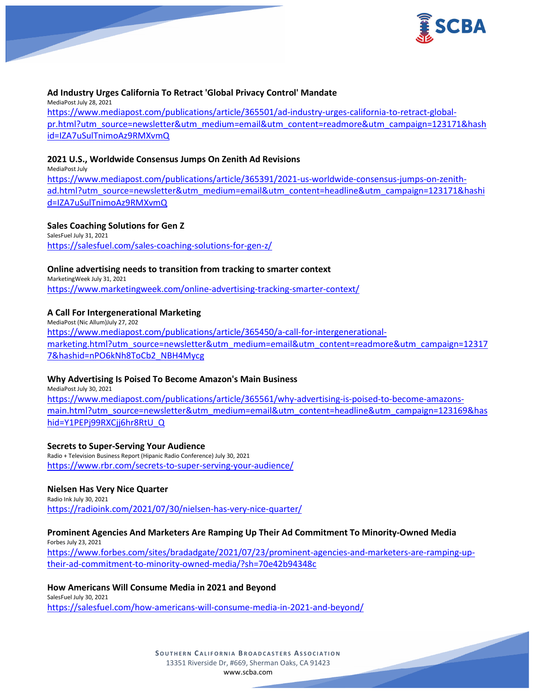

# **Ad Industry Urges California To Retract 'Global Privacy Control' Mandate**

MediaPost July 28, 2021 [https://www.mediapost.com/publications/article/365501/ad-industry-urges-california-to-retract-global](https://www.mediapost.com/publications/article/365501/ad-industry-urges-california-to-retract-global-pr.html?utm_source=newsletter&utm_medium=email&utm_content=readmore&utm_campaign=123171&hashid=IZA7uSulTnimoAz9RMXvmQ)[pr.html?utm\\_source=newsletter&utm\\_medium=email&utm\\_content=readmore&utm\\_campaign=123171&hash](https://www.mediapost.com/publications/article/365501/ad-industry-urges-california-to-retract-global-pr.html?utm_source=newsletter&utm_medium=email&utm_content=readmore&utm_campaign=123171&hashid=IZA7uSulTnimoAz9RMXvmQ) [id=IZA7uSulTnimoAz9RMXvmQ](https://www.mediapost.com/publications/article/365501/ad-industry-urges-california-to-retract-global-pr.html?utm_source=newsletter&utm_medium=email&utm_content=readmore&utm_campaign=123171&hashid=IZA7uSulTnimoAz9RMXvmQ)

#### **2021 U.S., Worldwide Consensus Jumps On Zenith Ad Revisions**

MediaPost July [https://www.mediapost.com/publications/article/365391/2021-us-worldwide-consensus-jumps-on-zenith](https://www.mediapost.com/publications/article/365391/2021-us-worldwide-consensus-jumps-on-zenith-ad.html?utm_source=newsletter&utm_medium=email&utm_content=headline&utm_campaign=123171&hashid=IZA7uSulTnimoAz9RMXvmQ)[ad.html?utm\\_source=newsletter&utm\\_medium=email&utm\\_content=headline&utm\\_campaign=123171&hashi](https://www.mediapost.com/publications/article/365391/2021-us-worldwide-consensus-jumps-on-zenith-ad.html?utm_source=newsletter&utm_medium=email&utm_content=headline&utm_campaign=123171&hashid=IZA7uSulTnimoAz9RMXvmQ) [d=IZA7uSulTnimoAz9RMXvmQ](https://www.mediapost.com/publications/article/365391/2021-us-worldwide-consensus-jumps-on-zenith-ad.html?utm_source=newsletter&utm_medium=email&utm_content=headline&utm_campaign=123171&hashid=IZA7uSulTnimoAz9RMXvmQ)

#### **Sales Coaching Solutions for Gen Z**

SalesFuel July 31, 2021 <https://salesfuel.com/sales-coaching-solutions-for-gen-z/>

#### **Online advertising needs to transition from tracking to smarter context**

MarketingWeek July 31, 2021 <https://www.marketingweek.com/online-advertising-tracking-smarter-context/>

# **A Call For Intergenerational Marketing**

MediaPost (Nic Allum)July 27, 202 [https://www.mediapost.com/publications/article/365450/a-call-for-intergenerational](https://www.mediapost.com/publications/article/365450/a-call-for-intergenerational-marketing.html?utm_source=newsletter&utm_medium=email&utm_content=readmore&utm_campaign=123177&hashid=nPO6kNh8ToCb2_NBH4Mycg)[marketing.html?utm\\_source=newsletter&utm\\_medium=email&utm\\_content=readmore&utm\\_campaign=12317](https://www.mediapost.com/publications/article/365450/a-call-for-intergenerational-marketing.html?utm_source=newsletter&utm_medium=email&utm_content=readmore&utm_campaign=123177&hashid=nPO6kNh8ToCb2_NBH4Mycg) [7&hashid=nPO6kNh8ToCb2\\_NBH4Mycg](https://www.mediapost.com/publications/article/365450/a-call-for-intergenerational-marketing.html?utm_source=newsletter&utm_medium=email&utm_content=readmore&utm_campaign=123177&hashid=nPO6kNh8ToCb2_NBH4Mycg)

#### **Why Advertising Is Poised To Become Amazon's Main Business** MediaPost July 30, 2021

[https://www.mediapost.com/publications/article/365561/why-advertising-is-poised-to-become-amazons](https://www.mediapost.com/publications/article/365561/why-advertising-is-poised-to-become-amazons-main.html?utm_source=newsletter&utm_medium=email&utm_content=headline&utm_campaign=123169&hashid=Y1PEPj99RXCjj6hr8RtU_Q)[main.html?utm\\_source=newsletter&utm\\_medium=email&utm\\_content=headline&utm\\_campaign=123169&has](https://www.mediapost.com/publications/article/365561/why-advertising-is-poised-to-become-amazons-main.html?utm_source=newsletter&utm_medium=email&utm_content=headline&utm_campaign=123169&hashid=Y1PEPj99RXCjj6hr8RtU_Q) [hid=Y1PEPj99RXCjj6hr8RtU\\_Q](https://www.mediapost.com/publications/article/365561/why-advertising-is-poised-to-become-amazons-main.html?utm_source=newsletter&utm_medium=email&utm_content=headline&utm_campaign=123169&hashid=Y1PEPj99RXCjj6hr8RtU_Q)

#### **Secrets to Super-Serving Your Audience**

Radio + Television Business Report (Hipanic Radio Conference) July 30, 2021 <https://www.rbr.com/secrets-to-super-serving-your-audience/>

# **Nielsen Has Very Nice Quarter**

Radio Ink July 30, 2021 <https://radioink.com/2021/07/30/nielsen-has-very-nice-quarter/>

# **Prominent Agencies And Marketers Are Ramping Up Their Ad Commitment To Minority-Owned Media**

Forbes July 23, 2021 [https://www.forbes.com/sites/bradadgate/2021/07/23/prominent-agencies-and-marketers-are-ramping-up](https://www.forbes.com/sites/bradadgate/2021/07/23/prominent-agencies-and-marketers-are-ramping-up-their-ad-commitment-to-minority-owned-media/?sh=70e42b94348c)[their-ad-commitment-to-minority-owned-media/?sh=70e42b94348c](https://www.forbes.com/sites/bradadgate/2021/07/23/prominent-agencies-and-marketers-are-ramping-up-their-ad-commitment-to-minority-owned-media/?sh=70e42b94348c)

#### **How Americans Will Consume Media in 2021 and Beyond** SalesFuel July 30, 2021 <https://salesfuel.com/how-americans-will-consume-media-in-2021-and-beyond/>

**SOUTHERN C ALIFORNIA B ROADCASTERS ASSOCIATION** 13351 Riverside Dr, #669, Sherman Oaks, CA 91423 [www.scba.com](http://www.scba.com/)